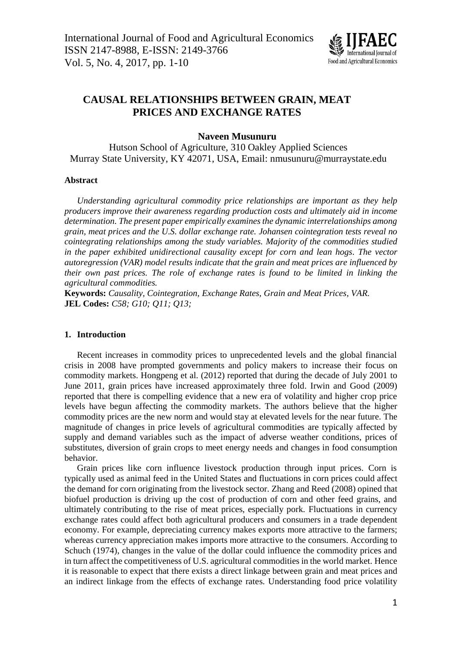

# **CAUSAL RELATIONSHIPS BETWEEN GRAIN, MEAT PRICES AND EXCHANGE RATES**

# **Naveen Musunuru**

Hutson School of Agriculture, 310 Oakley Applied Sciences Murray State University, KY 42071, USA, Email: nmusunuru@murraystate.edu

## **Abstract**

*Understanding agricultural commodity price relationships are important as they help producers improve their awareness regarding production costs and ultimately aid in income determination. The present paper empirically examines the dynamic interrelationships among grain, meat prices and the U.S. dollar exchange rate. Johansen cointegration tests reveal no cointegrating relationships among the study variables. Majority of the commodities studied in the paper exhibited unidirectional causality except for corn and lean hogs. The vector autoregression (VAR) model results indicate that the grain and meat prices are influenced by their own past prices. The role of exchange rates is found to be limited in linking the agricultural commodities.*

**Keywords:** *Causality, Cointegration, Exchange Rates, Grain and Meat Prices, VAR.* **JEL Codes:** *C58; G10; Q11; Q13;* 

# **1. Introduction**

Recent increases in commodity prices to unprecedented levels and the global financial crisis in 2008 have prompted governments and policy makers to increase their focus on commodity markets. Hongpeng et al. (2012) reported that during the decade of July 2001 to June 2011, grain prices have increased approximately three fold. Irwin and Good (2009) reported that there is compelling evidence that a new era of volatility and higher crop price levels have begun affecting the commodity markets. The authors believe that the higher commodity prices are the new norm and would stay at elevated levels for the near future. The magnitude of changes in price levels of agricultural commodities are typically affected by supply and demand variables such as the impact of adverse weather conditions, prices of substitutes, diversion of grain crops to meet energy needs and changes in food consumption behavior.

Grain prices like corn influence livestock production through input prices. Corn is typically used as animal feed in the United States and fluctuations in corn prices could affect the demand for corn originating from the livestock sector. Zhang and Reed (2008) opined that biofuel production is driving up the cost of production of corn and other feed grains, and ultimately contributing to the rise of meat prices, especially pork. Fluctuations in currency exchange rates could affect both agricultural producers and consumers in a trade dependent economy. For example, depreciating currency makes exports more attractive to the farmers; whereas currency appreciation makes imports more attractive to the consumers. According to Schuch (1974), changes in the value of the dollar could influence the commodity prices and in turn affect the competitiveness of U.S. agricultural commodities in the world market. Hence it is reasonable to expect that there exists a direct linkage between grain and meat prices and an indirect linkage from the effects of exchange rates. Understanding food price volatility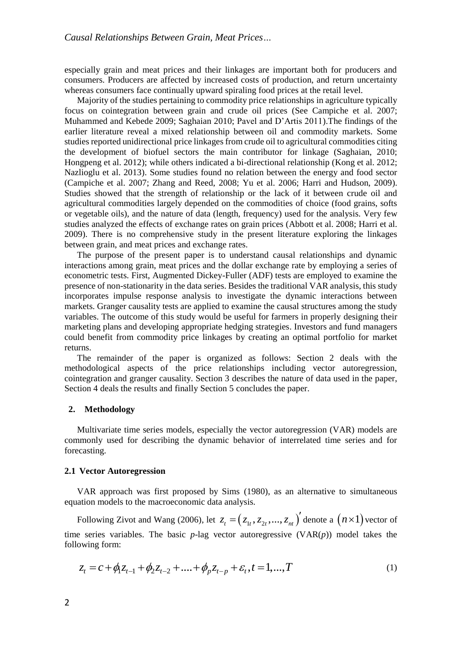especially grain and meat prices and their linkages are important both for producers and consumers. Producers are affected by increased costs of production, and return uncertainty whereas consumers face continually upward spiraling food prices at the retail level.

Majority of the studies pertaining to commodity price relationships in agriculture typically focus on cointegration between grain and crude oil prices (See Campiche et al. 2007; Muhammed and Kebede 2009; Saghaian 2010; Pavel and D'Artis 2011).The findings of the earlier literature reveal a mixed relationship between oil and commodity markets. Some studies reported unidirectional price linkages from crude oil to agricultural commodities citing the development of biofuel sectors the main contributor for linkage (Saghaian, 2010; Hongpeng et al. 2012); while others indicated a bi-directional relationship (Kong et al. 2012; Nazlioglu et al. 2013). Some studies found no relation between the energy and food sector (Campiche et al. 2007; Zhang and Reed, 2008; Yu et al. 2006; Harri and Hudson, 2009). Studies showed that the strength of relationship or the lack of it between crude oil and agricultural commodities largely depended on the commodities of choice (food grains, softs or vegetable oils), and the nature of data (length, frequency) used for the analysis. Very few studies analyzed the effects of exchange rates on grain prices (Abbott et al. 2008; Harri et al. 2009). There is no comprehensive study in the present literature exploring the linkages between grain, and meat prices and exchange rates.

The purpose of the present paper is to understand causal relationships and dynamic interactions among grain, meat prices and the dollar exchange rate by employing a series of econometric tests. First, Augmented Dickey-Fuller (ADF) tests are employed to examine the presence of non-stationarity in the data series. Besides the traditional VAR analysis, this study incorporates impulse response analysis to investigate the dynamic interactions between markets. Granger causality tests are applied to examine the causal structures among the study variables. The outcome of this study would be useful for farmers in properly designing their marketing plans and developing appropriate hedging strategies. Investors and fund managers could benefit from commodity price linkages by creating an optimal portfolio for market returns.

The remainder of the paper is organized as follows: Section 2 deals with the methodological aspects of the price relationships including vector autoregression, cointegration and granger causality. Section 3 describes the nature of data used in the paper, Section 4 deals the results and finally Section 5 concludes the paper.

# **2. Methodology**

Multivariate time series models, especially the vector autoregression (VAR) models are commonly used for describing the dynamic behavior of interrelated time series and for forecasting.

#### **2.1 Vector Autoregression**

VAR approach was first proposed by Sims (1980), as an alternative to simultaneous equation models to the macroeconomic data analysis.

Following Zivot and Wang (2006), let  $z_t = (z_{1t}, z_{2t}, ..., z_{nt})'$  denote a  $(n \times 1)$  vector of time series variables. The basic  $p$ -lag vector autoregressive  $(VAR(p))$  model takes the following form:

$$
z_t = c + \phi_1 z_{t-1} + \phi_2 z_{t-2} + \dots + \phi_p z_{t-p} + \varepsilon_t, t = 1, \dots, T
$$
\n<sup>(1)</sup>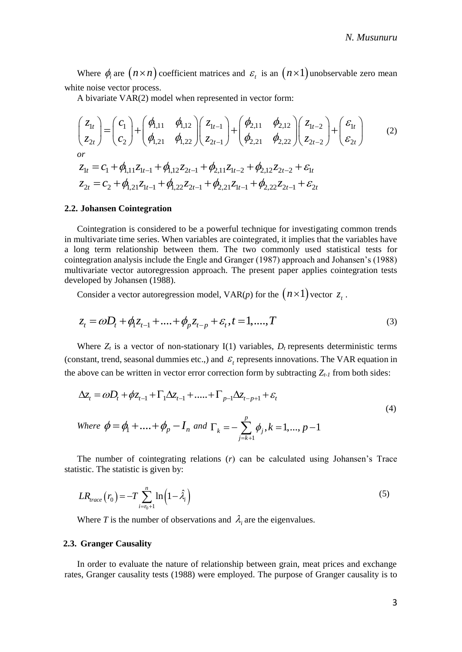Where  $\phi_i$  are  $(n \times n)$  coefficient matrices and  $\varepsilon_i$  is an  $(n \times 1)$  unobservable zero mean white noise vector process.

A bivariate VAR(2) model when represented in vector form:

$$
\begin{pmatrix} z_{1t} \ z_{2t} \end{pmatrix} = \begin{pmatrix} c_1 \ c_2 \end{pmatrix} + \begin{pmatrix} \phi_{1,11} & \phi_{1,12} \\ \phi_{1,21} & \phi_{1,22} \end{pmatrix} \begin{pmatrix} z_{1t-1} \ z_{2t-1} \end{pmatrix} + \begin{pmatrix} \phi_{2,11} & \phi_{2,12} \\ \phi_{2,21} & \phi_{2,22} \end{pmatrix} \begin{pmatrix} z_{1t-2} \ z_{2t-2} \end{pmatrix} + \begin{pmatrix} \varepsilon_{1t} \ \varepsilon_{2t} \end{pmatrix}
$$
  
\nor  
\n
$$
z_{1t} = c_1 + \phi_{1,11} z_{1t-1} + \phi_{1,12} z_{2t-1} + \phi_{2,11} z_{1t-2} + \phi_{2,12} z_{2t-2} + \varepsilon_{1t}
$$
  
\n
$$
z_{2t} = c_2 + \phi_{1,21} z_{1t-1} + \phi_{1,22} z_{2t-1} + \phi_{2,21} z_{1t-1} + \phi_{2,22} z_{2t-1} + \varepsilon_{2t}
$$
 (2)

#### **2.2. Johansen Cointegration**

Cointegration is considered to be a powerful technique for investigating common trends in multivariate time series. When variables are cointegrated, it implies that the variables have a long term relationship between them. The two commonly used statistical tests for cointegration analysis include the Engle and Granger (1987) approach and Johansen's (1988) multivariate vector autoregression approach. The present paper applies cointegration tests developed by Johansen (1988).

Consider a vector autoregression model,  $VAR(p)$  for the  $(n \times 1)$  vector  $z_t$ .

$$
z_t = \omega D_t + \phi_1 z_{t-1} + \dots + \phi_p z_{t-p} + \varepsilon_t, t = 1, \dots, T
$$
\n(3)

Where  $Z_t$  is a vector of non-stationary I(1) variables,  $D_t$  represents deterministic terms (constant, trend, seasonal dummies etc.,) and  $\varepsilon$ <sub>t</sub> represents innovations. The VAR equation in the above can be written in vector error correction form by subtracting  $Z_t$ <sub>*t*</sub> from both sides:

$$
\Delta z_t = \omega D_t + \phi z_{t-1} + \Gamma_1 \Delta z_{t-1} + \dots + \Gamma_{p-1} \Delta z_{t-p+1} + \varepsilon_t
$$
  
\nWhere  $\phi = \phi_1 + \dots + \phi_p - I_n$  and  $\Gamma_k = -\sum_{j=k+1}^p \phi_j, k = 1, \dots, p-1$  (4)

The number of cointegrating relations (*r*) can be calculated using Johansen's Trace statistic. The statistic is given by:

$$
LR_{trace}\left(r_0\right) = -T\sum_{i=r_0+1}^{n} \ln\left(1 - \hat{\lambda}_i\right) \tag{5}
$$

Where *T* is the number of observations and  $\lambda_i$  are the eigenvalues.

### **2.3. Granger Causality**

In order to evaluate the nature of relationship between grain, meat prices and exchange rates, Granger causality tests (1988) were employed. The purpose of Granger causality is to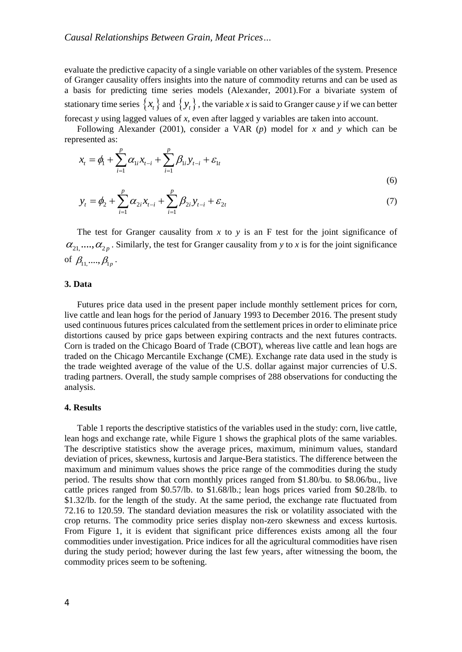evaluate the predictive capacity of a single variable on other variables of the system. Presence of Granger causality offers insights into the nature of commodity returns and can be used as a basis for predicting time series models (Alexander, 2001).For a bivariate system of stationary time series  $\{x_t\}$  and  $\{y_t\}$ , the variable *x* is said to Granger cause *y* if we can better forecast *y* using lagged values of *x*, even after lagged y variables are taken into account.

Following Alexander (2001), consider a VAR (*p*) model for *x* and *y* which can be represented as:

$$
x_{t} = \phi_{1} + \sum_{i=1}^{p} \alpha_{1i} x_{t-i} + \sum_{i=1}^{p} \beta_{1i} y_{t-i} + \varepsilon_{1t}
$$
\n(6)

$$
y_t = \phi_2 + \sum_{i=1}^p \alpha_{2i} x_{t-i} + \sum_{i=1}^p \beta_{2i} y_{t-i} + \varepsilon_{2t}
$$
 (7)

The test for Granger causality from  $x$  to  $y$  is an F test for the joint significance of  $\alpha_{21}, \ldots, \alpha_{2p}$ . Similarly, the test for Granger causality from *y* to *x* is for the joint significance of  $\beta_{11,} \dots, \beta_{1p}$ .

### **3. Data**

Futures price data used in the present paper include monthly settlement prices for corn, live cattle and lean hogs for the period of January 1993 to December 2016. The present study used continuous futures prices calculated from the settlement prices in order to eliminate price distortions caused by price gaps between expiring contracts and the next futures contracts. Corn is traded on the Chicago Board of Trade (CBOT), whereas live cattle and lean hogs are traded on the Chicago Mercantile Exchange (CME). Exchange rate data used in the study is the trade weighted average of the value of the U.S. dollar against major currencies of U.S. trading partners. Overall, the study sample comprises of 288 observations for conducting the analysis.

# **4. Results**

Table 1 reports the descriptive statistics of the variables used in the study: corn, live cattle, lean hogs and exchange rate, while Figure 1 shows the graphical plots of the same variables. The descriptive statistics show the average prices, maximum, minimum values, standard deviation of prices, skewness, kurtosis and Jarque-Bera statistics. The difference between the maximum and minimum values shows the price range of the commodities during the study period. The results show that corn monthly prices ranged from \$1.80/bu. to \$8.06/bu., live cattle prices ranged from \$0.57/lb. to \$1.68/lb.; lean hogs prices varied from \$0.28/lb. to \$1.32/lb. for the length of the study. At the same period, the exchange rate fluctuated from 72.16 to 120.59. The standard deviation measures the risk or volatility associated with the crop returns. The commodity price series display non-zero skewness and excess kurtosis. From Figure 1, it is evident that significant price differences exists among all the four commodities under investigation. Price indices for all the agricultural commodities have risen during the study period; however during the last few years, after witnessing the boom, the commodity prices seem to be softening.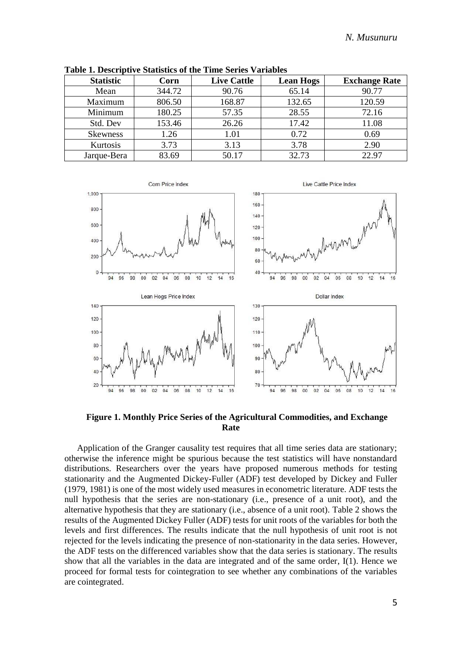| <b>Statistic</b> | Corn   | <b>Live Cattle</b> | <b>Lean Hogs</b> | <b>Exchange Rate</b> |
|------------------|--------|--------------------|------------------|----------------------|
| Mean             | 344.72 | 90.76              | 65.14            | 90.77                |
| Maximum          | 806.50 | 168.87             | 132.65           | 120.59               |
| Minimum          | 180.25 | 57.35              | 28.55            | 72.16                |
| Std. Dev         | 153.46 | 26.26              | 17.42            | 11.08                |
| <b>Skewness</b>  | 1.26   | 1.01               | 0.72             | 0.69                 |
| Kurtosis         | 3.73   | 3.13               | 3.78             | 2.90                 |
| Jarque-Bera      | 83.69  | 50.17              | 32.73            | 22.97                |

**Table 1. Descriptive Statistics of the Time Series Variables**



**Figure 1. Monthly Price Series of the Agricultural Commodities, and Exchange Rate**

Application of the Granger causality test requires that all time series data are stationary; otherwise the inference might be spurious because the test statistics will have nonstandard distributions. Researchers over the years have proposed numerous methods for testing stationarity and the Augmented Dickey-Fuller (ADF) test developed by Dickey and Fuller (1979, 1981) is one of the most widely used measures in econometric literature. ADF tests the null hypothesis that the series are non-stationary (i.e., presence of a unit root), and the alternative hypothesis that they are stationary (i.e., absence of a unit root). Table 2 shows the results of the Augmented Dickey Fuller (ADF) tests for unit roots of the variables for both the levels and first differences. The results indicate that the null hypothesis of unit root is not rejected for the levels indicating the presence of non-stationarity in the data series. However, the ADF tests on the differenced variables show that the data series is stationary. The results show that all the variables in the data are integrated and of the same order, I(1). Hence we proceed for formal tests for cointegration to see whether any combinations of the variables are cointegrated.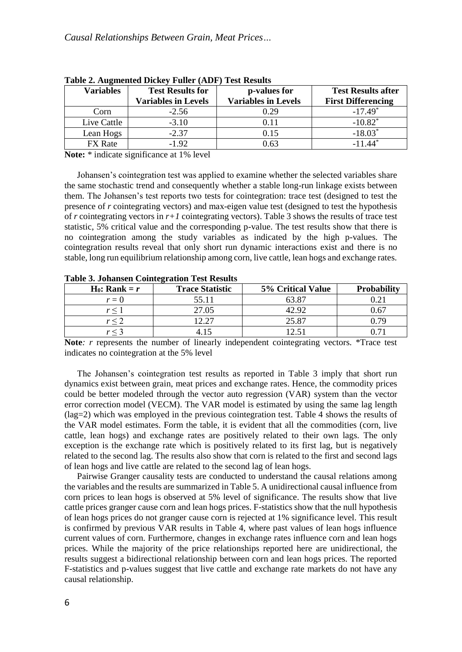| <b>Variables</b> | <b>Test Results for</b><br><b>Variables in Levels</b> | p-values for<br><b>Variables in Levels</b> | <b>Test Results after</b><br><b>First Differencing</b> |
|------------------|-------------------------------------------------------|--------------------------------------------|--------------------------------------------------------|
| Corn             | $-2.56$                                               | 0.29                                       | $-17.49*$                                              |
| Live Cattle      | $-3.10$                                               | 0.11                                       | $-10.82$ <sup>*</sup>                                  |
| Lean Hogs        | $-2.37$                                               | 0.15                                       | $-18.03*$                                              |
| <b>FX</b> Rate   | $-1.92$                                               | ) 63                                       |                                                        |

**Table 2. Augmented Dickey Fuller (ADF) Test Results**

**Note:** \* indicate significance at 1% level

Johansen's cointegration test was applied to examine whether the selected variables share the same stochastic trend and consequently whether a stable long-run linkage exists between them. The Johansen's test reports two tests for cointegration: trace test (designed to test the presence of *r* cointegrating vectors) and max-eigen value test (designed to test the hypothesis of *r* cointegrating vectors in  $r+1$  cointegrating vectors). Table 3 shows the results of trace test statistic, 5% critical value and the corresponding p-value. The test results show that there is no cointegration among the study variables as indicated by the high p-values. The cointegration results reveal that only short run dynamic interactions exist and there is no stable, long run equilibrium relationship among corn, live cattle, lean hogs and exchange rates.

| $H_0$ : Rank = r | <b>Trace Statistic</b> | 5% Critical Value | <b>Probability</b> |
|------------------|------------------------|-------------------|--------------------|
| $r=0$            | 55.11                  | 63.87             |                    |
|                  | 27.05                  | 12.92             | 0.67               |
|                  | רר ר                   | 25.87             | 0.79               |
|                  |                        |                   |                    |

**Table 3. Johansen Cointegration Test Results**

**Note***: r* represents the number of linearly independent cointegrating vectors. \*Trace test indicates no cointegration at the 5% level

The Johansen's cointegration test results as reported in Table 3 imply that short run dynamics exist between grain, meat prices and exchange rates. Hence, the commodity prices could be better modeled through the vector auto regression (VAR) system than the vector error correction model (VECM). The VAR model is estimated by using the same lag length (lag=2) which was employed in the previous cointegration test. Table 4 shows the results of the VAR model estimates. Form the table, it is evident that all the commodities (corn, live cattle, lean hogs) and exchange rates are positively related to their own lags. The only exception is the exchange rate which is positively related to its first lag, but is negatively related to the second lag. The results also show that corn is related to the first and second lags of lean hogs and live cattle are related to the second lag of lean hogs.

Pairwise Granger causality tests are conducted to understand the causal relations among the variables and the results are summarized in Table 5. A unidirectional causal influence from corn prices to lean hogs is observed at 5% level of significance. The results show that live cattle prices granger cause corn and lean hogs prices. F-statistics show that the null hypothesis of lean hogs prices do not granger cause corn is rejected at 1% significance level. This result is confirmed by previous VAR results in Table 4, where past values of lean hogs influence current values of corn. Furthermore, changes in exchange rates influence corn and lean hogs prices. While the majority of the price relationships reported here are unidirectional, the results suggest a bidirectional relationship between corn and lean hogs prices. The reported F-statistics and p-values suggest that live cattle and exchange rate markets do not have any causal relationship.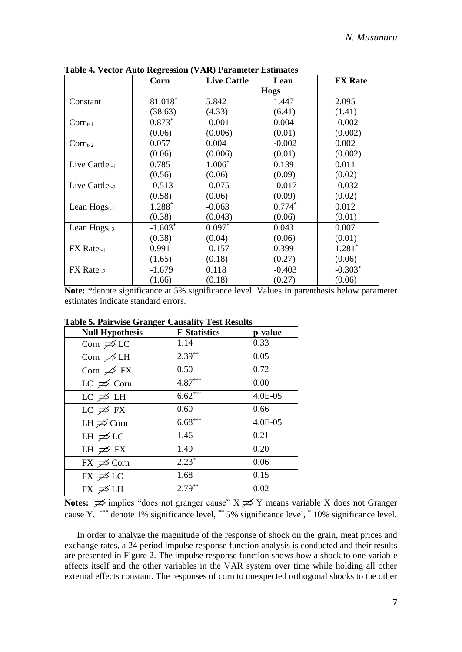|                          | Corn      | <b>Live Cattle</b> | Lean        | <b>FX</b> Rate |
|--------------------------|-----------|--------------------|-------------|----------------|
|                          |           |                    | <b>Hogs</b> |                |
| Constant                 | 81.018*   | 5.842              | 1.447       | 2.095          |
|                          | (38.63)   | (4.33)             | (6.41)      | (1.41)         |
| $Corn_{t-1}$             | $0.873*$  | $-0.001$           | 0.004       | $-0.002$       |
|                          | (0.06)    | (0.006)            | (0.01)      | (0.002)        |
| $Corn_{t-2}$             | 0.057     | 0.004              | $-0.002$    | 0.002          |
|                          | (0.06)    | (0.006)            | (0.01)      | (0.002)        |
| Live Cattle $_{t-1}$     | 0.785     | $1.006*$           | 0.139       | 0.011          |
|                          | (0.56)    | (0.06)             | (0.09)      | (0.02)         |
| Live Cattle $_{t-2}$     | $-0.513$  | $-0.075$           | $-0.017$    | $-0.032$       |
|                          | (0.58)    | (0.06)             | (0.09)      | (0.02)         |
| Lean $Hogs_{t-1}$        | 1.288*    | $-0.063$           | $0.774*$    | 0.012          |
|                          | (0.38)    | (0.043)            | (0.06)      | (0.01)         |
| Lean $Hogs_{t-2}$        | $-1.603*$ | $0.097*$           | 0.043       | 0.007          |
|                          | (0.38)    | (0.04)             | (0.06)      | (0.01)         |
| FX Rate <sub>t-1</sub>   | 0.991     | $-0.157$           | 0.399       | $1.281*$       |
|                          | (1.65)    | (0.18)             | (0.27)      | (0.06)         |
| $FX$ Rate <sub>t-2</sub> | $-1.679$  | 0.118              | $-0.403$    | $-0.303*$      |
|                          | (1.66)    | (0.18)             | (0.27)      | (0.06)         |

**Table 4. Vector Auto Regression (VAR) Parameter Estimates**

**Note:** \*denote significance at 5% significance level. Values in parenthesis below parameter estimates indicate standard errors.

| Table 5. Pairwise Granger Causanty Test Results |                     |           |  |
|-------------------------------------------------|---------------------|-----------|--|
| <b>Null Hypothesis</b>                          | <b>F-Statistics</b> | p-value   |  |
| Corn $\cancel{\preceq}$ LC                      | 1.14                | 0.33      |  |
| Corn $\cancel{\Rightarrow}$ LH                  | $2.39***$           | 0.05      |  |
| Corn $\neq$ FX                                  | 0.50                | 0.72      |  |
| LC $\neq$ Corn                                  | $4.87***$           | 0.00      |  |
| $LC \not\supseteq LH$                           | $6.62***$           | $4.0E-05$ |  |
| LC $\cancel{\Rightarrow}$ FX                    | 0.60                | 0.66      |  |
| LH $\cancel{\Rightarrow}$ Corn                  | $6.68***$           | $4.0E-05$ |  |
| LH $\cancel{\preceq}$ LC                        | 1.46                | 0.21      |  |
| LH $\cancel{\Rightarrow}$ FX                    | 1.49                | 0.20      |  |
| $FX \not\supseteq$ Corn                         | $2.23*$             | 0.06      |  |
| $FX \not\supseteq LC$                           | 1.68                | 0.15      |  |
| $FX \ncong LH$                                  | $2.79**$            | 0.02      |  |

**Table 5. Pairwise Granger Causality Test Results**

**Notes:**  $\cancel{\Rightarrow}$  implies "does not granger cause"  $X \cancel{\Rightarrow} Y$  means variable X does not Granger cause Y. \*\*\* denote 1% significance level, \*\* 5% significance level, \* 10% significance level.

In order to analyze the magnitude of the response of shock on the grain, meat prices and exchange rates, a 24 period impulse response function analysis is conducted and their results are presented in Figure 2. The impulse response function shows how a shock to one variable affects itself and the other variables in the VAR system over time while holding all other external effects constant. The responses of corn to unexpected orthogonal shocks to the other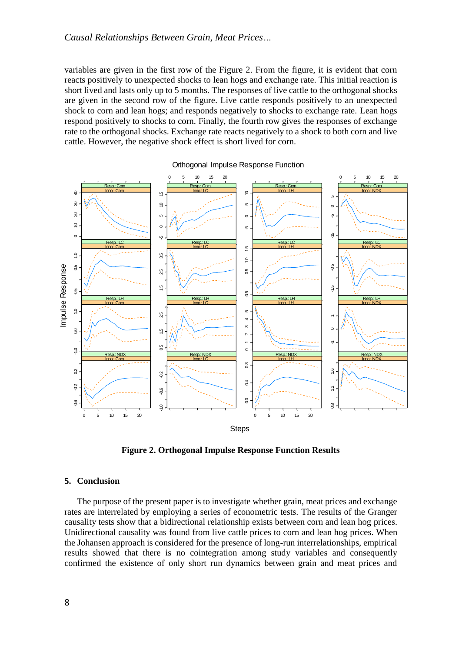variables are given in the first row of the Figure 2. From the figure, it is evident that corn reacts positively to unexpected shocks to lean hogs and exchange rate. This initial reaction is short lived and lasts only up to 5 months. The responses of live cattle to the orthogonal shocks are given in the second row of the figure. Live cattle responds positively to an unexpected shock to corn and lean hogs; and responds negatively to shocks to exchange rate. Lean hogs respond positively to shocks to corn. Finally, the fourth row gives the responses of exchange rate to the orthogonal shocks. Exchange rate reacts negatively to a shock to both corn and live cattle. However, the negative shock effect is short lived for corn.



Orthogonal Impulse Response Function

**Figure 2. Orthogonal Impulse Response Function Results**

# **5. Conclusion**

The purpose of the present paper is to investigate whether grain, meat prices and exchange rates are interrelated by employing a series of econometric tests. The results of the Granger causality tests show that a bidirectional relationship exists between corn and lean hog prices. Unidirectional causality was found from live cattle prices to corn and lean hog prices. When the Johansen approach is considered for the presence of long-run interrelationships, empirical results showed that there is no cointegration among study variables and consequently confirmed the existence of only short run dynamics between grain and meat prices and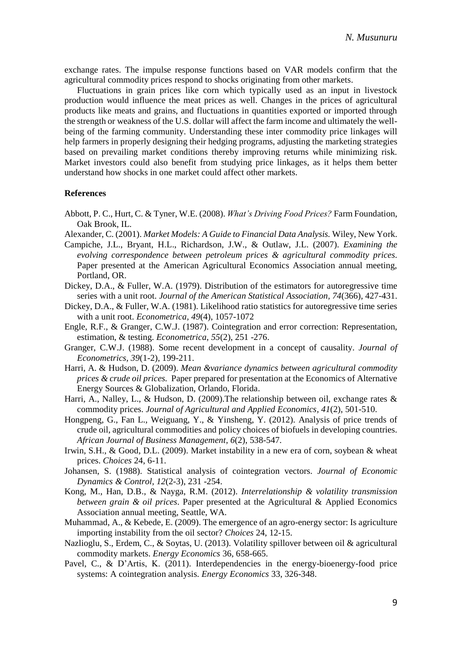exchange rates. The impulse response functions based on VAR models confirm that the agricultural commodity prices respond to shocks originating from other markets.

Fluctuations in grain prices like corn which typically used as an input in livestock production would influence the meat prices as well. Changes in the prices of agricultural products like meats and grains, and fluctuations in quantities exported or imported through the strength or weakness of the U.S. dollar will affect the farm income and ultimately the wellbeing of the farming community. Understanding these inter commodity price linkages will help farmers in properly designing their hedging programs, adjusting the marketing strategies based on prevailing market conditions thereby improving returns while minimizing risk. Market investors could also benefit from studying price linkages, as it helps them better understand how shocks in one market could affect other markets.

# **References**

- Abbott, P. C., Hurt, C. & Tyner, W.E. (2008). *What's Driving Food Prices?* Farm Foundation, Oak Brook, IL.
- Alexander, C. (2001). *Market Models: A Guide to Financial Data Analysis.* Wiley, New York.
- Campiche, J.L., Bryant, H.L., Richardson, J.W., & Outlaw, J.L. (2007). *Examining the evolving correspondence between petroleum prices & agricultural commodity prices*. Paper presented at the American Agricultural Economics Association annual meeting, Portland, OR.
- Dickey, D.A., & Fuller, W.A. (1979). Distribution of the estimators for autoregressive time series with a unit root. *Journal of the American Statistical Association, 74*(366), 427-431.
- Dickey, D.A., & Fuller, W.A. (1981). Likelihood ratio statistics for autoregressive time series with a unit root. *Econometrica, 49*(4), 1057-1072
- Engle, R.F., & Granger, C.W.J. (1987). Cointegration and error correction: Representation, estimation, & testing. *Econometrica*, *55*(2), 251 -276.
- Granger, C.W.J. (1988). Some recent development in a concept of causality. *Journal of Econometrics, 39*(1-2), 199-211.
- Harri, A. & Hudson, D. (2009). *Mean &variance dynamics between agricultural commodity prices & crude oil prices.* Paper prepared for presentation at the Economics of Alternative Energy Sources & Globalization, Orlando, Florida.
- Harri, A., Nalley, L., & Hudson, D. (2009).The relationship between oil, exchange rates & commodity prices. *Journal of Agricultural and Applied Economics, 41*(2), 501-510.
- Hongpeng, G., Fan L., Weiguang, Y., & Yinsheng, Y. (2012). Analysis of price trends of crude oil, agricultural commodities and policy choices of biofuels in developing countries. *African Journal of Business Management, 6*(2), 538-547.
- Irwin, S.H., & Good, D.L. (2009). Market instability in a new era of corn, soybean & wheat prices. *Choices* 24, 6-11.
- Johansen, S. (1988). Statistical analysis of cointegration vectors. *Journal of Economic Dynamics & Control, 12*(2-3), 231 -254.
- Kong, M., Han, D.B., & Nayga, R.M. (2012). *Interrelationship & volatility transmission between grain & oil prices*. Paper presented at the Agricultural & Applied Economics Association annual meeting, Seattle, WA.
- Muhammad, A., & Kebede, E. (2009). The emergence of an agro-energy sector: Is agriculture importing instability from the oil sector? *Choices* 24, 12-15.
- Nazlioglu, S., Erdem, C., & Soytas, U. (2013). Volatility spillover between oil & agricultural commodity markets. *Energy Economics* 36, 658-665.
- Pavel, C., & D'Artis, K. (2011). Interdependencies in the energy-bioenergy-food price systems: A cointegration analysis. *Energy Economics* 33, 326-348.